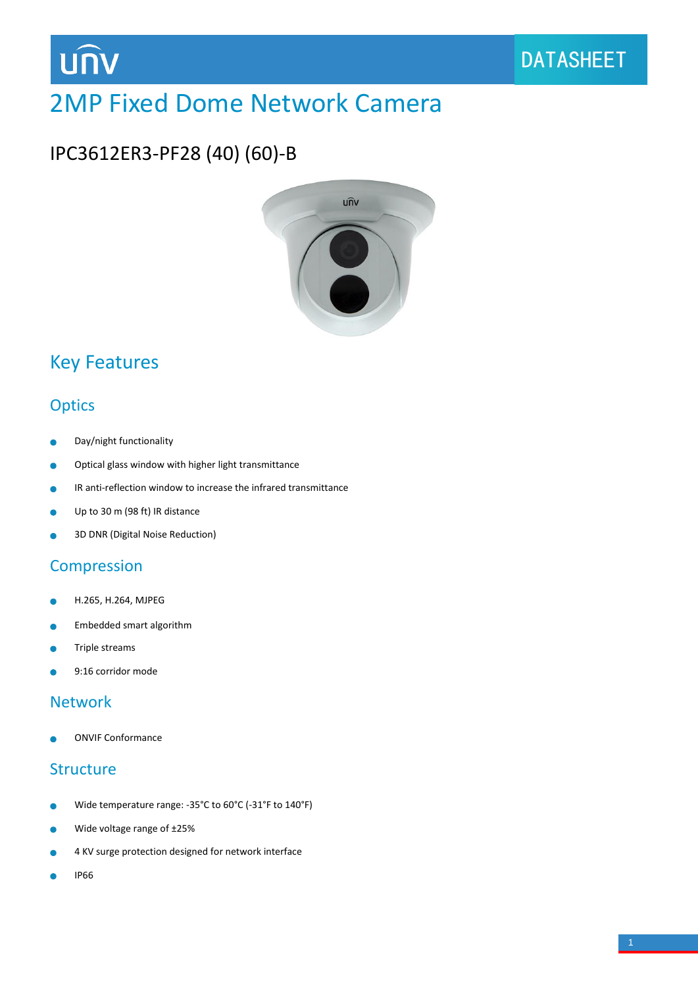

# 2MP Fixed Dome Network Camera

## IPC3612ER3-PF28 (40) (60)-B



## Key Features

### **Optics**

- Day/night functionality ò
- Optical glass window with higher light transmittance  $\bullet$
- IR anti-reflection window to increase the infrared transmittance  $\bullet$
- Up to 30 m (98 ft) IR distance Ŏ
- 3D DNR (Digital Noise Reduction) ò

#### **Compression**

- H.265, H.264, MJPEG Ä
- Embedded smart algorithm ٠
- Triple streams
- 9:16 corridor mode

#### Network

ONVIF Conformance

#### **Structure**

- Wide temperature range: -35°C to 60°C (-31°F to 140°F) ò
- Wide voltage range of ±25%  $\bullet$
- 4 KV surge protection designed for network interface
- IP66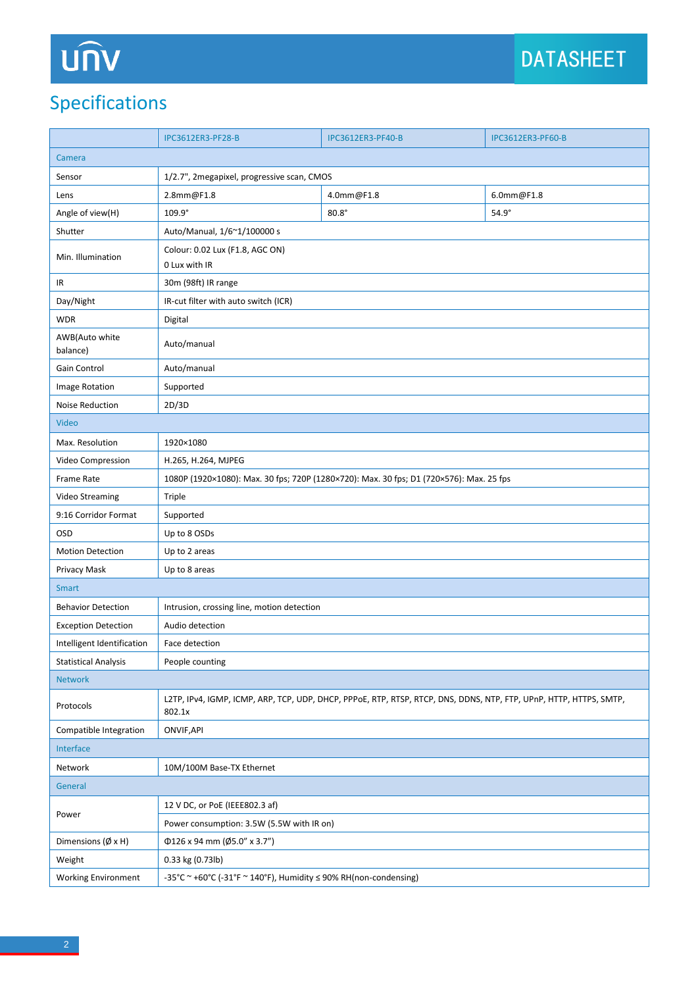# Specifications

|                                   | <b>IPC3612ER3-PF28-B</b>                                                                                                     | <b>IPC3612ER3-PF40-B</b> | <b>IPC3612ER3-PF60-B</b> |
|-----------------------------------|------------------------------------------------------------------------------------------------------------------------------|--------------------------|--------------------------|
| Camera                            |                                                                                                                              |                          |                          |
| Sensor                            | 1/2.7", 2megapixel, progressive scan, CMOS                                                                                   |                          |                          |
| Lens                              | 2.8mm@F1.8                                                                                                                   | 4.0mm@F1.8               | 6.0mm@F1.8               |
| Angle of view(H)                  | 109.9°                                                                                                                       | $80.8^\circ$             | $54.9^\circ$             |
| Shutter                           | Auto/Manual, 1/6~1/100000 s                                                                                                  |                          |                          |
| Min. Illumination                 | Colour: 0.02 Lux (F1.8, AGC ON)                                                                                              |                          |                          |
|                                   | 0 Lux with IR                                                                                                                |                          |                          |
| IR                                | 30m (98ft) IR range                                                                                                          |                          |                          |
| Day/Night                         | IR-cut filter with auto switch (ICR)                                                                                         |                          |                          |
| <b>WDR</b>                        | Digital                                                                                                                      |                          |                          |
| AWB(Auto white<br>balance)        | Auto/manual                                                                                                                  |                          |                          |
| Gain Control                      | Auto/manual                                                                                                                  |                          |                          |
| Image Rotation                    | Supported                                                                                                                    |                          |                          |
| Noise Reduction                   | 2D/3D                                                                                                                        |                          |                          |
| Video                             |                                                                                                                              |                          |                          |
| Max. Resolution                   | 1920×1080                                                                                                                    |                          |                          |
| Video Compression                 | H.265, H.264, MJPEG                                                                                                          |                          |                          |
| Frame Rate                        | 1080P (1920×1080): Max. 30 fps; 720P (1280×720): Max. 30 fps; D1 (720×576): Max. 25 fps                                      |                          |                          |
| Video Streaming                   | Triple                                                                                                                       |                          |                          |
| 9:16 Corridor Format              | Supported                                                                                                                    |                          |                          |
| OSD                               | Up to 8 OSDs                                                                                                                 |                          |                          |
| <b>Motion Detection</b>           | Up to 2 areas                                                                                                                |                          |                          |
| Privacy Mask                      | Up to 8 areas                                                                                                                |                          |                          |
| <b>Smart</b>                      |                                                                                                                              |                          |                          |
| <b>Behavior Detection</b>         | Intrusion, crossing line, motion detection                                                                                   |                          |                          |
| <b>Exception Detection</b>        | Audio detection                                                                                                              |                          |                          |
| Intelligent Identification        | Face detection                                                                                                               |                          |                          |
| <b>Statistical Analysis</b>       | People counting                                                                                                              |                          |                          |
| <b>Network</b>                    |                                                                                                                              |                          |                          |
| Protocols                         | L2TP, IPv4, IGMP, ICMP, ARP, TCP, UDP, DHCP, PPPoE, RTP, RTSP, RTCP, DNS, DDNS, NTP, FTP, UPnP, HTTP, HTTPS, SMTP,<br>802.1x |                          |                          |
| Compatible Integration            | ONVIF, API                                                                                                                   |                          |                          |
| Interface                         |                                                                                                                              |                          |                          |
| Network                           | 10M/100M Base-TX Ethernet                                                                                                    |                          |                          |
| General                           |                                                                                                                              |                          |                          |
| Power                             | 12 V DC, or PoE (IEEE802.3 af)                                                                                               |                          |                          |
|                                   | Power consumption: 3.5W (5.5W with IR on)                                                                                    |                          |                          |
| Dimensions $(\emptyset \times H)$ | $\Phi$ 126 x 94 mm (Ø5.0" x 3.7")                                                                                            |                          |                          |
| Weight                            | 0.33 kg (0.73lb)                                                                                                             |                          |                          |
| <b>Working Environment</b>        | -35°C ~ +60°C (-31°F ~ 140°F), Humidity $\leq$ 90% RH(non-condensing)                                                        |                          |                          |